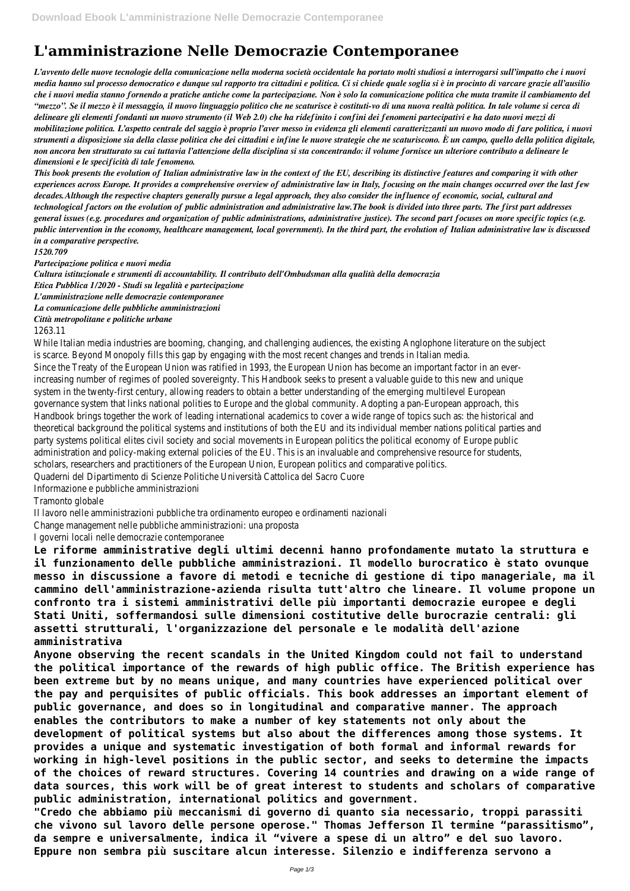# **L'amministrazione Nelle Democrazie Contemporanee**

*L'avvento delle nuove tecnologie della comunicazione nella moderna società occidentale ha portato molti studiosi a interrogarsi sull'impatto che i nuovi media hanno sul processo democratico e dunque sul rapporto tra cittadini e politica. Ci si chiede quale soglia si è in procinto di varcare grazie all'ausilio che i nuovi media stanno fornendo a pratiche antiche come la partecipazione. Non è solo la comunicazione politica che muta tramite il cambiamento del "mezzo". Se il mezzo è il messaggio, il nuovo linguaggio politico che ne scaturisce è costituti-vo di una nuova realtà politica. In tale volume si cerca di delineare gli elementi fondanti un nuovo strumento (il Web 2.0) che ha ridefinito i confini dei fenomeni partecipativi e ha dato nuovi mezzi di mobilitazione politica. L'aspetto centrale del saggio è proprio l'aver messo in evidenza gli elementi caratterizzanti un nuovo modo di fare politica, i nuovi strumenti a disposizione sia della classe politica che dei cittadini e infine le nuove strategie che ne scaturiscono. È un campo, quello della politica digitale, non ancora ben strutturato su cui tuttavia l'attenzione della disciplina si sta concentrando: il volume fornisce un ulteriore contributo a delineare le dimensioni e le specificità di tale fenomeno.*

*This book presents the evolution of Italian administrative law in the context of the EU, describing its distinctive features and comparing it with other experiences across Europe. It provides a comprehensive overview of administrative law in Italy, focusing on the main changes occurred over the last few decades.Although the respective chapters generally pursue a legal approach, they also consider the influence of economic, social, cultural and technological factors on the evolution of public administration and administrative law.The book is divided into three parts. The first part addresses general issues (e.g. procedures and organization of public administrations, administrative justice). The second part focuses on more specific topics (e.g. public intervention in the economy, healthcare management, local government). In the third part, the evolution of Italian administrative law is discussed in a comparative perspective.*

*1520.709*

*Partecipazione politica e nuovi media*

*Cultura istituzionale e strumenti di accountability. Il contributo dell'Ombudsman alla qualità della democrazia*

*Etica Pubblica 1/2020 - Studi su legalità e partecipazione*

*L'amministrazione nelle democrazie contemporanee*

*La comunicazione delle pubbliche amministrazioni*

*Città metropolitane e politiche urbane*

1263.11

While Italian media industries are booming, changing, and challenging audiences, the existing Anglophone literature on the subject is scarce. Beyond Monopoly fills this gap by engaging with the most recent changes and trends in Italian media. Since the Treaty of the European Union was ratified in 1993, the European Union has become an important factor in an everincreasing number of regimes of pooled sovereignty. This Handbook seeks to present a valuable guide to this new and unique system in the twenty-first century, allowing readers to obtain a better understanding of the emerging multilevel European governance system that links national polities to Europe and the global community. Adopting a pan-European approach, this Handbook brings together the work of leading international academics to cover a wide range of topics such as: the historical and theoretical background the political systems and institutions of both the EU and its individual member nations political parties and party systems political elites civil society and social movements in European politics the political economy of Europe public administration and policy-making external policies of the EU. This is an invaluable and comprehensive resource for students, scholars, researchers and practitioners of the European Union, European politics and comparative politics.

Quaderni del Dipartimento di Scienze Politiche Università Cattolica del Sacro Cuore

Informazione e pubbliche amministrazioni

Tramonto globale

Il lavoro nelle amministrazioni pubbliche tra ordinamento europeo e ordinamenti nazionali

Change management nelle pubbliche amministrazioni: una proposta

I governi locali nelle democrazie contemporanee

**Le riforme amministrative degli ultimi decenni hanno profondamente mutato la struttura e il funzionamento delle pubbliche amministrazioni. Il modello burocratico è stato ovunque messo in discussione a favore di metodi e tecniche di gestione di tipo manageriale, ma il cammino dell'amministrazione-azienda risulta tutt'altro che lineare. Il volume propone un confronto tra i sistemi amministrativi delle più importanti democrazie europee e degli Stati Uniti, soffermandosi sulle dimensioni costitutive delle burocrazie centrali: gli assetti strutturali, l'organizzazione del personale e le modalità dell'azione amministrativa**

**Anyone observing the recent scandals in the United Kingdom could not fail to understand the political importance of the rewards of high public office. The British experience has been extreme but by no means unique, and many countries have experienced political over the pay and perquisites of public officials. This book addresses an important element of public governance, and does so in longitudinal and comparative manner. The approach enables the contributors to make a number of key statements not only about the development of political systems but also about the differences among those systems. It provides a unique and systematic investigation of both formal and informal rewards for working in high-level positions in the public sector, and seeks to determine the impacts of the choices of reward structures. Covering 14 countries and drawing on a wide range of data sources, this work will be of great interest to students and scholars of comparative public administration, international politics and government. "Credo che abbiamo più meccanismi di governo di quanto sia necessario, troppi parassiti che vivono sul lavoro delle persone operose." Thomas Jefferson Il termine "parassitismo", da sempre e universalmente, indica il "vivere a spese di un altro" e del suo lavoro. Eppure non sembra più suscitare alcun interesse. Silenzio e indifferenza servono a**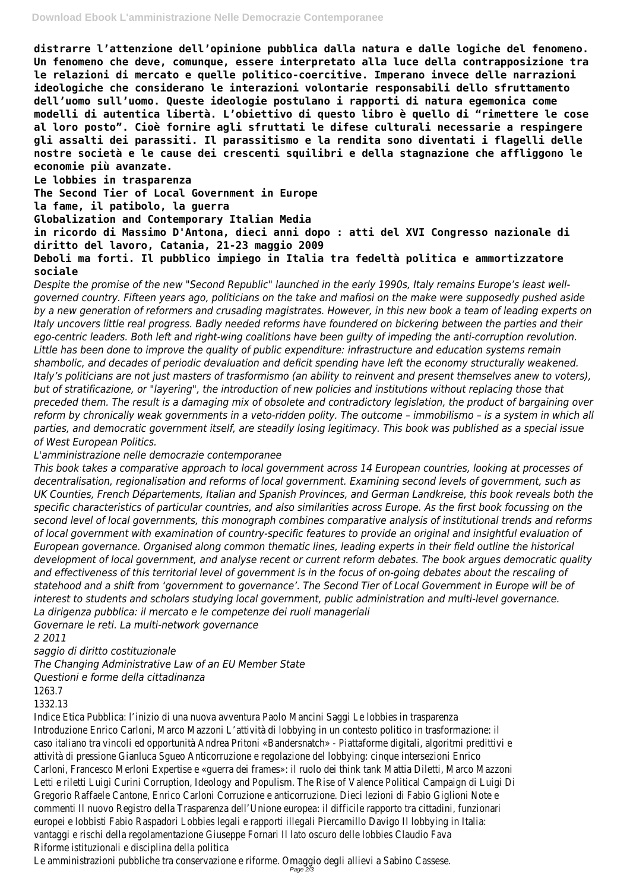**distrarre l'attenzione dell'opinione pubblica dalla natura e dalle logiche del fenomeno. Un fenomeno che deve, comunque, essere interpretato alla luce della contrapposizione tra le relazioni di mercato e quelle politico-coercitive. Imperano invece delle narrazioni ideologiche che considerano le interazioni volontarie responsabili dello sfruttamento dell'uomo sull'uomo. Queste ideologie postulano i rapporti di natura egemonica come modelli di autentica libertà. L'obiettivo di questo libro è quello di "rimettere le cose al loro posto". Cioè fornire agli sfruttati le difese culturali necessarie a respingere gli assalti dei parassiti. Il parassitismo e la rendita sono diventati i flagelli delle nostre società e le cause dei crescenti squilibri e della stagnazione che affliggono le economie più avanzate.**

**Le lobbies in trasparenza**

**The Second Tier of Local Government in Europe**

**la fame, il patibolo, la guerra**

**Globalization and Contemporary Italian Media**

**in ricordo di Massimo D'Antona, dieci anni dopo : atti del XVI Congresso nazionale di diritto del lavoro, Catania, 21-23 maggio 2009**

**Deboli ma forti. Il pubblico impiego in Italia tra fedeltà politica e ammortizzatore sociale**

*Despite the promise of the new "Second Republic" launched in the early 1990s, Italy remains Europe's least wellgoverned country. Fifteen years ago, politicians on the take and mafiosi on the make were supposedly pushed aside by a new generation of reformers and crusading magistrates. However, in this new book a team of leading experts on Italy uncovers little real progress. Badly needed reforms have foundered on bickering between the parties and their ego-centric leaders. Both left and right-wing coalitions have been guilty of impeding the anti-corruption revolution. Little has been done to improve the quality of public expenditure: infrastructure and education systems remain shambolic, and decades of periodic devaluation and deficit spending have left the economy structurally weakened. Italy's politicians are not just masters of trasformismo (an ability to reinvent and present themselves anew to voters), but of stratificazione, or "layering", the introduction of new policies and institutions without replacing those that preceded them. The result is a damaging mix of obsolete and contradictory legislation, the product of bargaining over reform by chronically weak governments in a veto-ridden polity. The outcome – immobilismo – is a system in which all parties, and democratic government itself, are steadily losing legitimacy. This book was published as a special issue of West European Politics.*

*L'amministrazione nelle democrazie contemporanee*

*This book takes a comparative approach to local government across 14 European countries, looking at processes of decentralisation, regionalisation and reforms of local government. Examining second levels of government, such as UK Counties, French Départements, Italian and Spanish Provinces, and German Landkreise, this book reveals both the specific characteristics of particular countries, and also similarities across Europe. As the first book focussing on the second level of local governments, this monograph combines comparative analysis of institutional trends and reforms of local government with examination of country-specific features to provide an original and insightful evaluation of European governance. Organised along common thematic lines, leading experts in their field outline the historical development of local government, and analyse recent or current reform debates. The book argues democratic quality and effectiveness of this territorial level of government is in the focus of on-going debates about the rescaling of statehood and a shift from 'government to governance'. The Second Tier of Local Government in Europe will be of interest to students and scholars studying local government, public administration and multi-level governance. La dirigenza pubblica: il mercato e le competenze dei ruoli manageriali*

*Governare le reti. La multi-network governance*

*2 2011*

*saggio di diritto costituzionale*

*The Changing Administrative Law of an EU Member State*

#### *Questioni e forme della cittadinanza*

### 1263.7

#### 1332.13

Indice Etica Pubblica: l'inizio di una nuova avventura Paolo Mancini Saggi Le lobbies in trasparenza Introduzione Enrico Carloni, Marco Mazzoni L'attività di lobbying in un contesto politico in trasformazione: il caso italiano tra vincoli ed opportunità Andrea Pritoni «Bandersnatch» - Piattaforme digitali, algoritmi predittivi e attività di pressione Gianluca Sgueo Anticorruzione e regolazione del lobbying: cinque intersezioni Enrico Carloni, Francesco Merloni Expertise e «guerra dei frames»: il ruolo dei think tank Mattia Diletti, Marco Mazzoni Letti e riletti Luigi Curini Corruption, Ideology and Populism. The Rise of Valence Political Campaign di Luigi Di Gregorio Raffaele Cantone, Enrico Carloni Corruzione e anticorruzione. Dieci lezioni di Fabio Giglioni Note e commenti Il nuovo Registro della Trasparenza dell'Unione europea: il difficile rapporto tra cittadini, funzionari europei e lobbisti Fabio Raspadori Lobbies legali e rapporti illegali Piercamillo Davigo Il lobbying in Italia: vantaggi e rischi della regolamentazione Giuseppe Fornari Il lato oscuro delle lobbies Claudio Fava Riforme istituzionali e disciplina della politica

Le amministrazioni pubbliche tra conservazione e riforme. Omaggio degli allievi a Sabino Cassese. Page 2/3